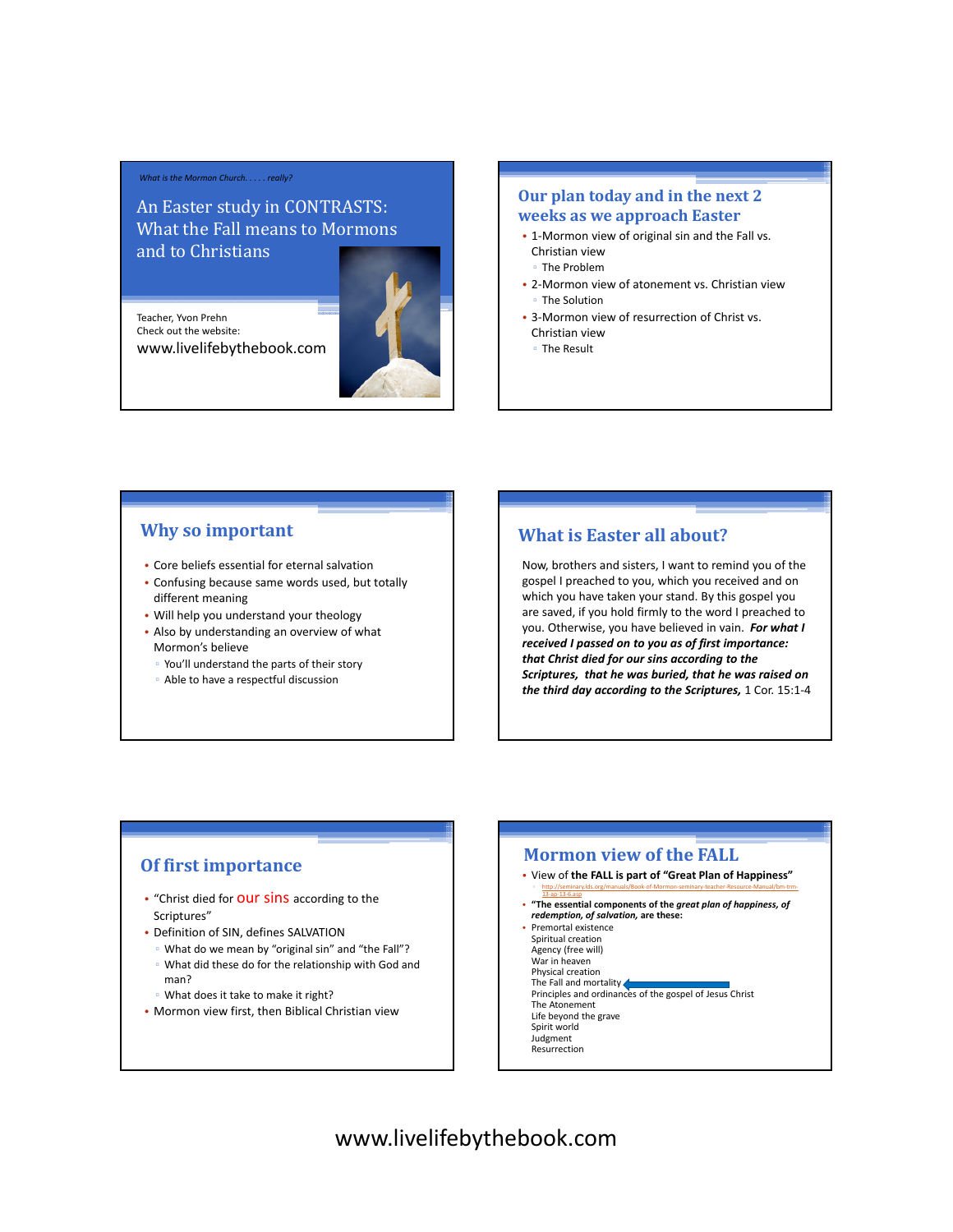#### *What is the Mormon Church. . . . . really?*

An Easter study in CONTRASTS: What the Fall means to Mormons and to Christians

Teacher, Yvon Prehn Check out the website:

www.livelifebythebook.com



## **Our plan today and in the next 2 weeks as we approach Easter**

- 1-Mormon view of original sin and the Fall vs. Christian view
	- The Problem
- 2-Mormon view of atonement vs. Christian view ▫ The Solution
- 3-Mormon view of resurrection of Christ vs. Christian view
	- The Result

#### **Why so important**

- Core beliefs essential for eternal salvation
- Confusing because same words used, but totally different meaning
- Will help you understand your theology
- Also by understanding an overview of what Mormon's believe
	- You'll understand the parts of their story
	- Able to have a respectful discussion

## **What is Easter all about?**

Now, brothers and sisters, I want to remind you of the gospel I preached to you, which you received and on which you have taken your stand. By this gospel you are saved, if you hold firmly to the word I preached to you. Otherwise, you have believed in vain. *For what I received I passed on to you as of first importance: that Christ died for our sins according to the Scriptures, that he was buried, that he was raised on the third day according to the Scriptures,* 1 Cor. 15:1-4

### **Of first importance**

man?

- "Christ died for **OUT SINS** according to the Scriptures"
- Definition of SIN, defines SALVATION
	- What do we mean by "original sin" and "the Fall"? ▫ What did these do for the relationship with God and
	- What does it take to make it right?
- Mormon view first, then Biblical Christian view

#### **Mormon view of the FALL**

- View of **the FALL is part of "Great Plan of Happiness"** ▫ http://seminary.lds.org/manuals/Book-of-Mormon-seminary-teacher-Resource-Manual/bm-trm-
- 13-ap-13-6.asp **"The essential components of the** *great plan of happiness, of redemption, of salvation,* **are these:**
- Premortal existence
- Spiritual creation Agency (free will)
- War in heaven
- 
- Physical creation<br>The Fall and mortality **(Fig. 2016)**<br>Principles and ordinances of the gospel of Jesus Christ
- The Atonement
- Life beyond the grave Spirit world
- Judgment
- Resurrection

# www.livelifebythebook.com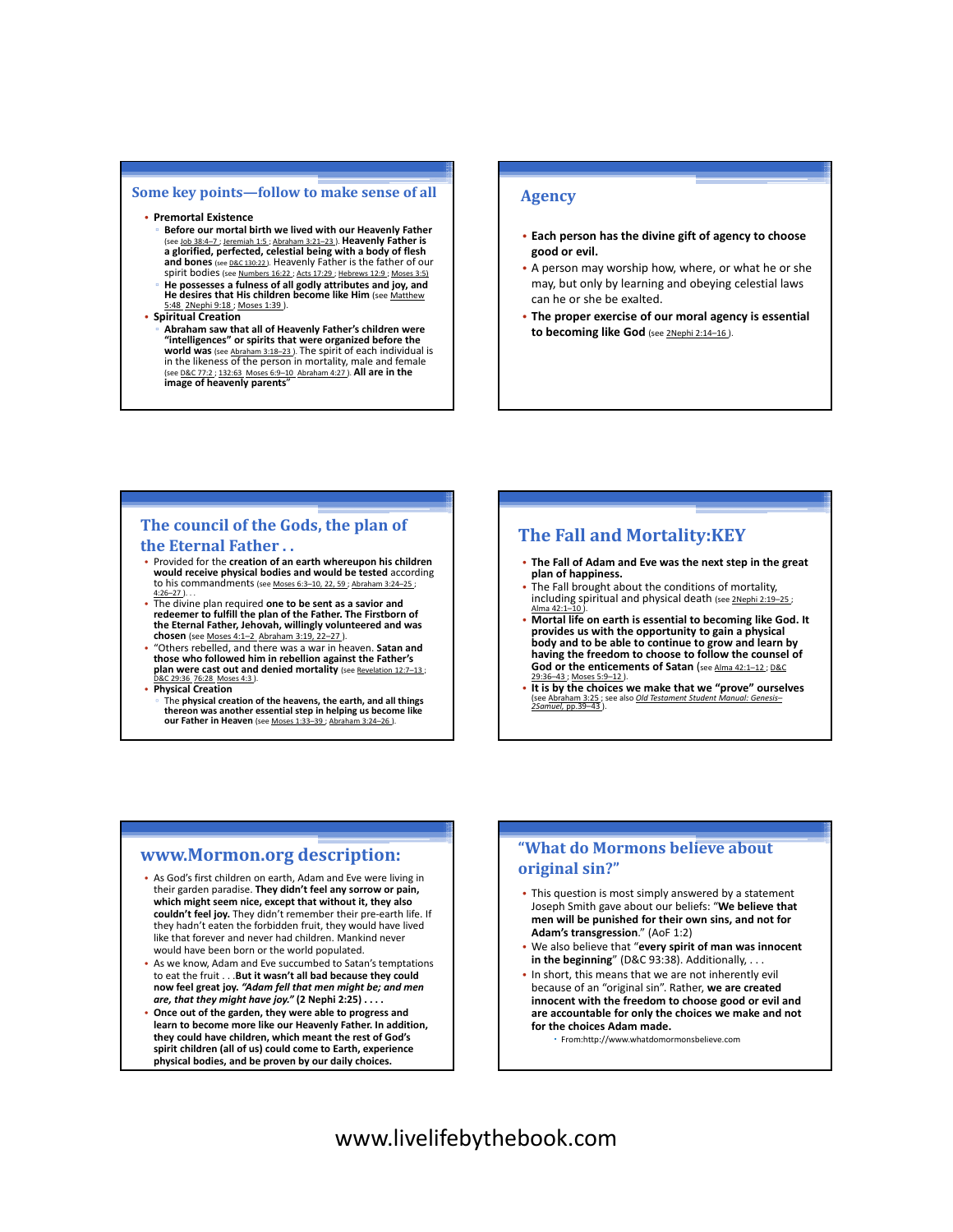#### **Some key points—follow to make sense of all**

#### • **Premortal Existence**

▫ **Before our mortal birth we lived with our Heavenly Father**  (see Job 38:4–7 ; Jeremiah 1:5 ; Abraham 3:21–23 ). **Heavenly Father is a glorified, perfected, celestial being with a body of flesh**  and bones (see D&C 130:22). Heavenly Father is the father of our spirit bodies (see Numbers 16:22 ; Acts 17:29 ; Hebrews 12:9 ; Moses 3:5) ▫ **He possesses a fulness of all godly attributes and joy, and**  He desires that His children become like Him (see Matthew 5:48 2Nephi 9:18 ; Moses 1:39 ).

#### • **Spiritual Creation**

▫ **Abraham saw that all of Heavenly Father's children were "intelligences" or spirits that were organized before the world was** (see Abraham 3:18–23 ). The spirit of each individual is in the likeness of the person in mortality, male and female (see D&C 77:2 ; 132:63 Moses 6:9–10 Abraham 4:27 ). **All are in the image of heavenly parents**"

#### **Agency**

- **Each person has the divine gift of agency to choose good or evil.**
- A person may worship how, where, or what he or she may, but only by learning and obeying celestial laws can he or she be exalted.
- **The proper exercise of our moral agency is essential**  to becoming like God (see 2Nephi 2:14-16)

#### **The council of the Gods, the plan of the Eternal Father . .**

- Provided for the **creation of an earth whereupon his children would receive physical bodies and would be tested** according to his commandments (see Moses 6:3-10, 22, 59 ; Abraham 3:24-25 ;  $4:26-27$ ).
- The divine plan required **one to be sent as a savior and redeemer to fulfill the plan of the Father. The Firstborn of the Eternal Father, Jehovah, willingly volunteered and was chosen** (see Moses 4:1–2 Abraham 3:19, 22–27 ).
- "Others rebelled, and there was a war in heaven. **Satan and those who followed him in rebellion against the Father's**  plan were cast out and denied mortality (see Revelation 12:7-13 D&C 29:36 76:28 Moses 4:3 ).
- **Physical Creation**
- The **physical creation of the heavens, the earth, and all things thereon was another essential step in helping us become like our Father in Heaven** (see Moses 1:33–39 ; Abraham 3:24–26 ).

#### **The Fall and Mortality:KEY**

- **The Fall of Adam and Eve was the next step in the great plan of happiness.**
- The Fall brought about the conditions of mortality, including spiritual and physical death (see 2Nephi 2:19
- Alma 42:1–10).<br>• Mortal life on earth is essential to becoming like God. It **provides us with the opportunity to gain a physical body and to be able to continue to grow and learn by having the freedom to choose to follow the counsel of**  God or the enticements of Satan (see Alma 42:1-12; D&C  $2:36-43$ : Moses 5:9-12 ).
- **It is by the choices we make that we "prove" ourselves**  (see Abraham 3:25 ; see also *Old 2Samuel*, pp.39–43 ).

#### **www.Mormon.org description:**

- As God's first children on earth, Adam and Eve were living in their garden paradise. **They didn't feel any sorrow or pain, which might seem nice, except that without it, they also couldn't feel joy.** They didn't remember their pre-earth life. If they hadn't eaten the forbidden fruit, they would have lived like that forever and never had children. Mankind never would have been born or the world populated.
- As we know, Adam and Eve succumbed to Satan's temptations to eat the fruit . . .**But it wasn't all bad because they could now feel great joy.** *"Adam fell that men might be; and men are, that they might have joy."* **(2 Nephi 2:25) . . . .**
- **Once out of the garden, they were able to progress and learn to become more like our Heavenly Father. In addition, they could have children, which meant the rest of God's spirit children (all of us) could come to Earth, experience physical bodies, and be proven by our daily choices.**

#### **"What do Mormons believe about original sin?"**

- This question is most simply answered by a statement Joseph Smith gave about our beliefs: "**We believe that men will be punished for their own sins, and not for Adam's transgression**." (AoF 1:2)
- We also believe that "**every spirit of man was innocent in the beginning**" (D&C 93:38). Additionally, . . .
- In short, this means that we are not inherently evil because of an "original sin". Rather, **we are created innocent with the freedom to choose good or evil and are accountable for only the choices we make and not for the choices Adam made.**
	- From:http://www.whatdomormonsbelieve.com

www.livelifebythebook.com